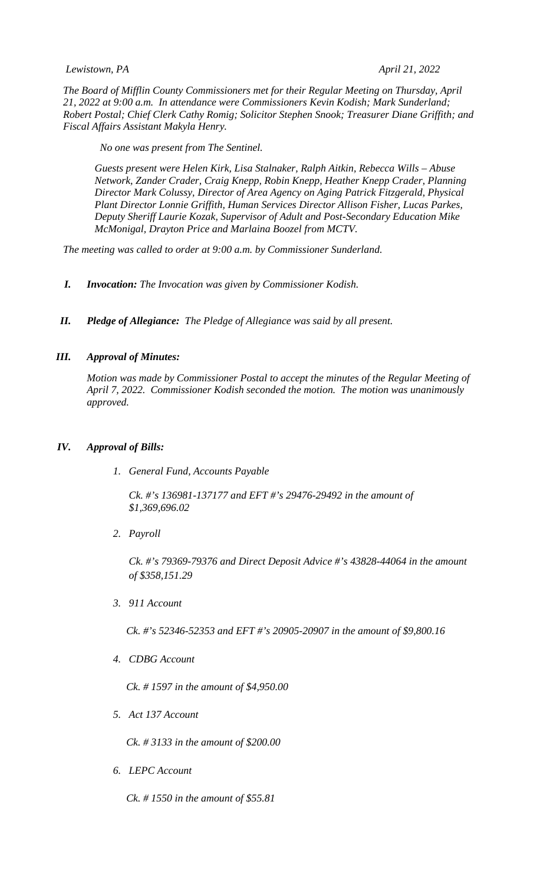*Lewistown, PA April 21, 2022*

*The Board of Mifflin County Commissioners met for their Regular Meeting on Thursday, April 21, 2022 at 9:00 a.m. In attendance were Commissioners Kevin Kodish; Mark Sunderland; Robert Postal; Chief Clerk Cathy Romig; Solicitor Stephen Snook; Treasurer Diane Griffith; and Fiscal Affairs Assistant Makyla Henry.* 

*No one was present from The Sentinel.* 

*Guests present were Helen Kirk, Lisa Stalnaker, Ralph Aitkin, Rebecca Wills – Abuse Network, Zander Crader, Craig Knepp, Robin Knepp, Heather Knepp Crader, Planning Director Mark Colussy, Director of Area Agency on Aging Patrick Fitzgerald, Physical Plant Director Lonnie Griffith, Human Services Director Allison Fisher, Lucas Parkes, Deputy Sheriff Laurie Kozak, Supervisor of Adult and Post-Secondary Education Mike McMonigal, Drayton Price and Marlaina Boozel from MCTV.*

*The meeting was called to order at 9:00 a.m. by Commissioner Sunderland.*

- *I. Invocation: The Invocation was given by Commissioner Kodish.*
- *II. Pledge of Allegiance: The Pledge of Allegiance was said by all present.*

#### *III. Approval of Minutes:*

*Motion was made by Commissioner Postal to accept the minutes of the Regular Meeting of April 7, 2022. Commissioner Kodish seconded the motion. The motion was unanimously approved.* 

### *IV. Approval of Bills:*

*1. General Fund, Accounts Payable*

*Ck. #'s 136981-137177 and EFT #'s 29476-29492 in the amount of \$1,369,696.02*

*2. Payroll*

*Ck. #'s 79369-79376 and Direct Deposit Advice #'s 43828-44064 in the amount of \$358,151.29*

*3. 911 Account*

*Ck. #'s 52346-52353 and EFT #'s 20905-20907 in the amount of \$9,800.16*

*4. CDBG Account*

*Ck. # 1597 in the amount of \$4,950.00*

*5. Act 137 Account*

*Ck. # 3133 in the amount of \$200.00*

*6. LEPC Account*

*Ck. # 1550 in the amount of \$55.81*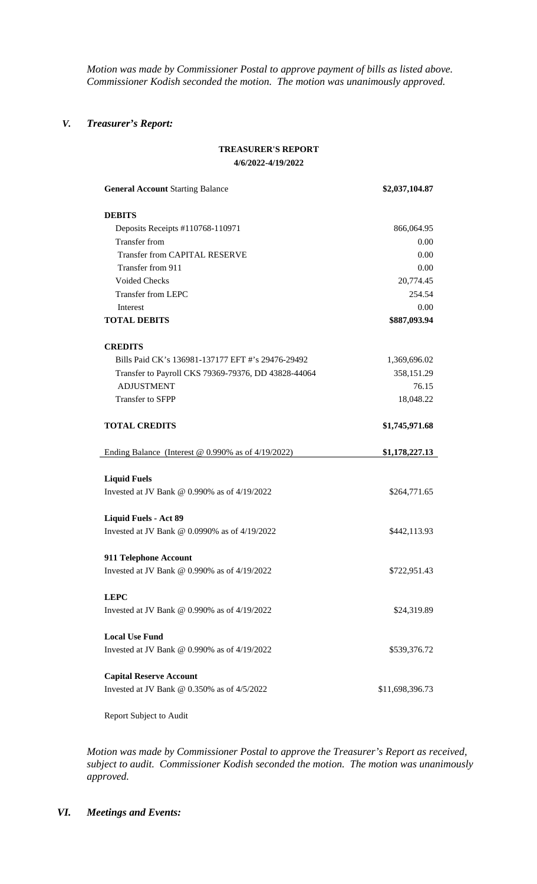*Motion was made by Commissioner Postal to approve payment of bills as listed above. Commissioner Kodish seconded the motion. The motion was unanimously approved.*

# *V. Treasurer's Report:*

#### **TREASURER'S REPORT 4/6/2022-4/19/2022**

| <b>General Account Starting Balance</b>                                       | \$2,037,104.87 |
|-------------------------------------------------------------------------------|----------------|
| <b>DEBITS</b>                                                                 |                |
| Deposits Receipts #110768-110971                                              | 866,064.95     |
| Transfer from                                                                 | 0.00           |
| <b>Transfer from CAPITAL RESERVE</b>                                          | 0.00           |
| Transfer from 911                                                             | 0.00           |
| <b>Voided Checks</b>                                                          | 20,774.45      |
| <b>Transfer from LEPC</b>                                                     | 254.54         |
| Interest                                                                      | 0.00           |
| <b>TOTAL DEBITS</b>                                                           | \$887,093.94   |
| <b>CREDITS</b>                                                                |                |
| Bills Paid CK's 136981-137177 EFT #'s 29476-29492                             | 1,369,696.02   |
| Transfer to Payroll CKS 79369-79376, DD 43828-44064                           | 358,151.29     |
| <b>ADJUSTMENT</b>                                                             | 76.15          |
| Transfer to SFPP                                                              | 18,048.22      |
| <b>TOTAL CREDITS</b>                                                          | \$1,745,971.68 |
|                                                                               |                |
| Ending Balance (Interest $@$ 0.990% as of 4/19/2022)                          | \$1,178,227.13 |
|                                                                               |                |
| <b>Liquid Fuels</b>                                                           |                |
| Invested at JV Bank $@$ 0.990% as of 4/19/2022                                | \$264,771.65   |
| <b>Liquid Fuels - Act 89</b>                                                  |                |
| Invested at JV Bank @ $0.0990\%$ as of 4/19/2022                              | \$442,113.93   |
|                                                                               |                |
| 911 Telephone Account<br>Invested at JV Bank @ 0.990% as of 4/19/2022         | \$722,951.43   |
|                                                                               |                |
| <b>LEPC</b><br>Invested at JV Bank $@$ 0.990% as of 4/19/2022                 | \$24,319.89    |
|                                                                               |                |
| <b>Local Use Fund</b>                                                         |                |
| Invested at JV Bank $\omega$ 0.990% as of 4/19/2022                           | \$539,376.72   |
| <b>Capital Reserve Account</b><br>Invested at JV Bank @ 0.350% as of 4/5/2022 |                |

Report Subject to Audit

*Motion was made by Commissioner Postal to approve the Treasurer's Report as received, subject to audit. Commissioner Kodish seconded the motion. The motion was unanimously approved.*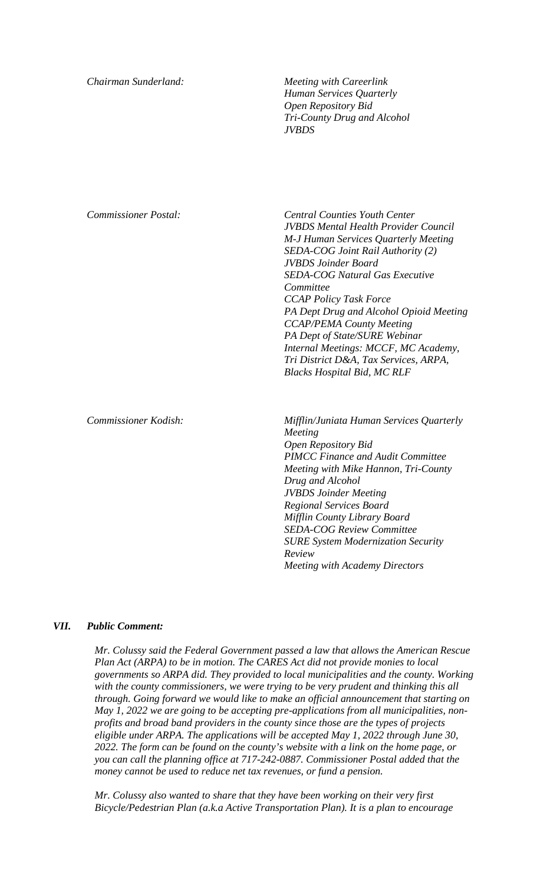*Chairman Sunderland: Meeting with Careerlink* 

*Human Services Quarterly Open Repository Bid Tri-County Drug and Alcohol JVBDS*

*Commissioner Postal: Central Counties Youth Center JVBDS Mental Health Provider Council M-J Human Services Quarterly Meeting SEDA-COG Joint Rail Authority (2) JVBDS Joinder Board SEDA-COG Natural Gas Executive Committee CCAP Policy Task Force PA Dept Drug and Alcohol Opioid Meeting CCAP/PEMA County Meeting PA Dept of State/SURE Webinar Internal Meetings: MCCF, MC Academy, Tri District D&A, Tax Services, ARPA, Blacks Hospital Bid, MC RLF*

*Commissioner Kodish: Mifflin/Juniata Human Services Quarterly Meeting Open Repository Bid PIMCC Finance and Audit Committee Meeting with Mike Hannon, Tri-County Drug and Alcohol JVBDS Joinder Meeting Regional Services Board Mifflin County Library Board SEDA-COG Review Committee SURE System Modernization Security Review Meeting with Academy Directors*

#### *VII. Public Comment:*

*Mr. Colussy said the Federal Government passed a law that allows the American Rescue Plan Act (ARPA) to be in motion. The CARES Act did not provide monies to local governments so ARPA did. They provided to local municipalities and the county. Working with the county commissioners, we were trying to be very prudent and thinking this all through. Going forward we would like to make an official announcement that starting on May 1, 2022 we are going to be accepting pre-applications from all municipalities, nonprofits and broad band providers in the county since those are the types of projects eligible under ARPA. The applications will be accepted May 1, 2022 through June 30, 2022. The form can be found on the county's website with a link on the home page, or you can call the planning office at 717-242-0887. Commissioner Postal added that the money cannot be used to reduce net tax revenues, or fund a pension.* 

*Mr. Colussy also wanted to share that they have been working on their very first Bicycle/Pedestrian Plan (a.k.a Active Transportation Plan). It is a plan to encourage*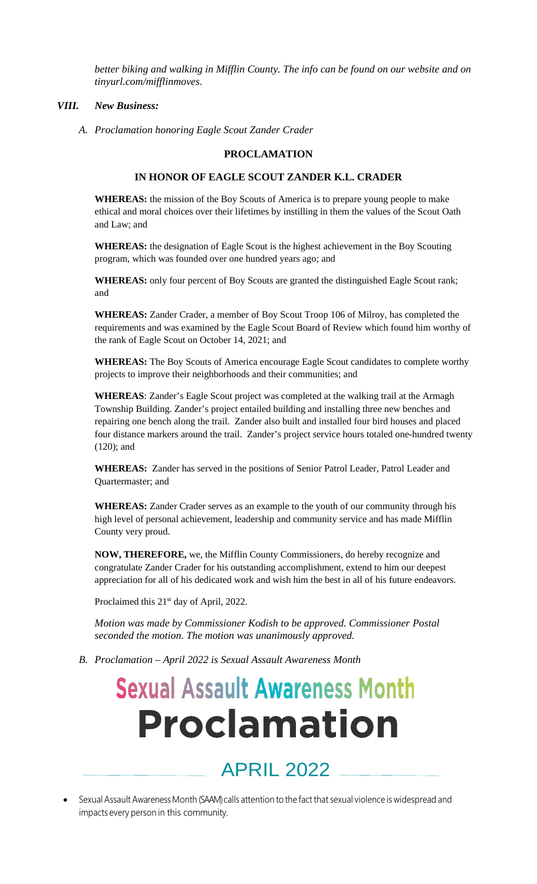*better biking and walking in Mifflin County. The info can be found on our website and on tinyurl.com/mifflinmoves.* 

#### *VIII. New Business:*

*A. Proclamation honoring Eagle Scout Zander Crader*

### **PROCLAMATION**

# **IN HONOR OF EAGLE SCOUT ZANDER K.L. CRADER**

**WHEREAS:** the mission of the Boy Scouts of America is to prepare young people to make ethical and moral choices over their lifetimes by instilling in them the values of the Scout Oath and Law; and

**WHEREAS:** the designation of Eagle Scout is the highest achievement in the Boy Scouting program, which was founded over one hundred years ago; and

**WHEREAS:** only four percent of Boy Scouts are granted the distinguished Eagle Scout rank; and

**WHEREAS:** Zander Crader, a member of Boy Scout Troop 106 of Milroy, has completed the requirements and was examined by the Eagle Scout Board of Review which found him worthy of the rank of Eagle Scout on October 14, 2021; and

**WHEREAS:** The Boy Scouts of America encourage Eagle Scout candidates to complete worthy projects to improve their neighborhoods and their communities; and

**WHEREAS**: Zander's Eagle Scout project was completed at the walking trail at the Armagh Township Building. Zander's project entailed building and installing three new benches and repairing one bench along the trail. Zander also built and installed four bird houses and placed four distance markers around the trail. Zander's project service hours totaled one-hundred twenty (120); and

**WHEREAS:** Zander has served in the positions of Senior Patrol Leader, Patrol Leader and Quartermaster; and

**WHEREAS:** Zander Crader serves as an example to the youth of our community through his high level of personal achievement, leadership and community service and has made Mifflin County very proud.

**NOW, THEREFORE,** we, the Mifflin County Commissioners, do hereby recognize and congratulate Zander Crader for his outstanding accomplishment, extend to him our deepest appreciation for all of his dedicated work and wish him the best in all of his future endeavors.

Proclaimed this 21<sup>st</sup> day of April, 2022.

*Motion was made by Commissioner Kodish to be approved. Commissioner Postal seconded the motion. The motion was unanimously approved.* 

*B. Proclamation – April 2022 is Sexual Assault Awareness Month*

# **Sexual Assault Awareness Month Proclamation**

# APRIL 2022

• Sexual Assault Awareness Month (SAAM) calls attention to the fact that sexual violence is widespread and impacts every person in this community.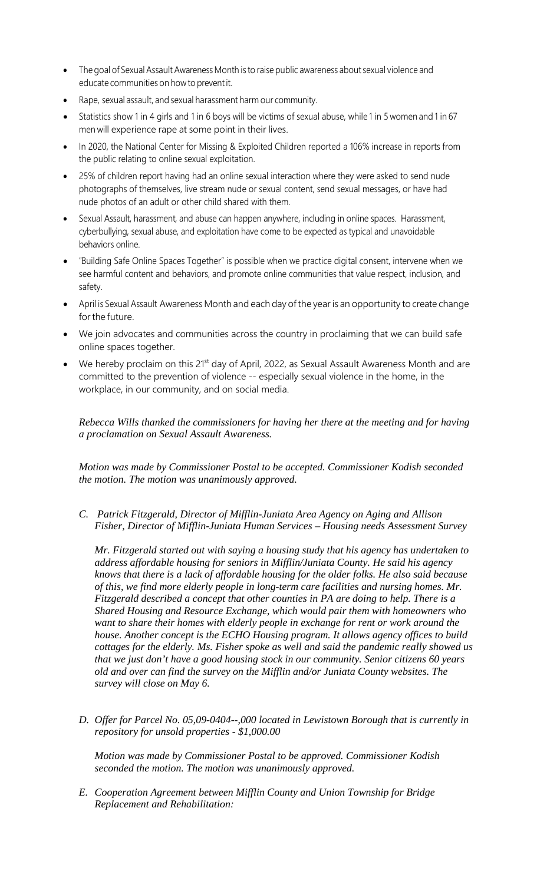- The goal of Sexual Assault Awareness Month is to raise public awareness about sexual violence and educate communities on how to preventit.
- Rape, sexual assault, and sexual harassment harm our community.
- Statistics show 1 in 4 girls and 1 in 6 boys will be victims of sexual abuse, while 1 in 5 women and 1 in 67 men will experience rape at some point in their lives.
- In 2020, the National Center for Missing & Exploited Children reported a 106% increase in reports from the public relating to online sexual exploitation.
- 25% of children report having had an online sexual interaction where they were asked to send nude photographs of themselves, live stream nude or sexual content, send sexual messages, or have had nude photos of an adult or other child shared with them.
- Sexual Assault, harassment, and abuse can happen anywhere, including in online spaces. Harassment, cyberbullying, sexual abuse, and exploitation have come to be expected as typical and unavoidable behaviors online.
- "Building Safe Online Spaces Together" is possible when we practice digital consent, intervene when we see harmful content and behaviors, and promote online communities that value respect, inclusion, and safety.
- April is Sexual Assault Awareness Month and each day of the year is an opportunity to create change forthe future.
- We join advocates and communities across the country in proclaiming that we can build safe online spaces together.
- We hereby proclaim on this 21<sup>st</sup> day of April, 2022, as Sexual Assault Awareness Month and are committed to the prevention of violence -- especially sexual violence in the home, in the workplace, in our community, and on social media.

*Rebecca Wills thanked the commissioners for having her there at the meeting and for having a proclamation on Sexual Assault Awareness.* 

*Motion was made by Commissioner Postal to be accepted. Commissioner Kodish seconded the motion. The motion was unanimously approved.* 

*C. Patrick Fitzgerald, Director of Mifflin-Juniata Area Agency on Aging and Allison Fisher, Director of Mifflin-Juniata Human Services – Housing needs Assessment Survey*

*Mr. Fitzgerald started out with saying a housing study that his agency has undertaken to address affordable housing for seniors in Mifflin/Juniata County. He said his agency knows that there is a lack of affordable housing for the older folks. He also said because of this, we find more elderly people in long-term care facilities and nursing homes. Mr. Fitzgerald described a concept that other counties in PA are doing to help. There is a Shared Housing and Resource Exchange, which would pair them with homeowners who want to share their homes with elderly people in exchange for rent or work around the house. Another concept is the ECHO Housing program. It allows agency offices to build cottages for the elderly. Ms. Fisher spoke as well and said the pandemic really showed us that we just don't have a good housing stock in our community. Senior citizens 60 years old and over can find the survey on the Mifflin and/or Juniata County websites. The survey will close on May 6.* 

*D. Offer for Parcel No. 05,09-0404--,000 located in Lewistown Borough that is currently in repository for unsold properties - \$1,000.00*

*Motion was made by Commissioner Postal to be approved. Commissioner Kodish seconded the motion. The motion was unanimously approved.* 

*E. Cooperation Agreement between Mifflin County and Union Township for Bridge Replacement and Rehabilitation:*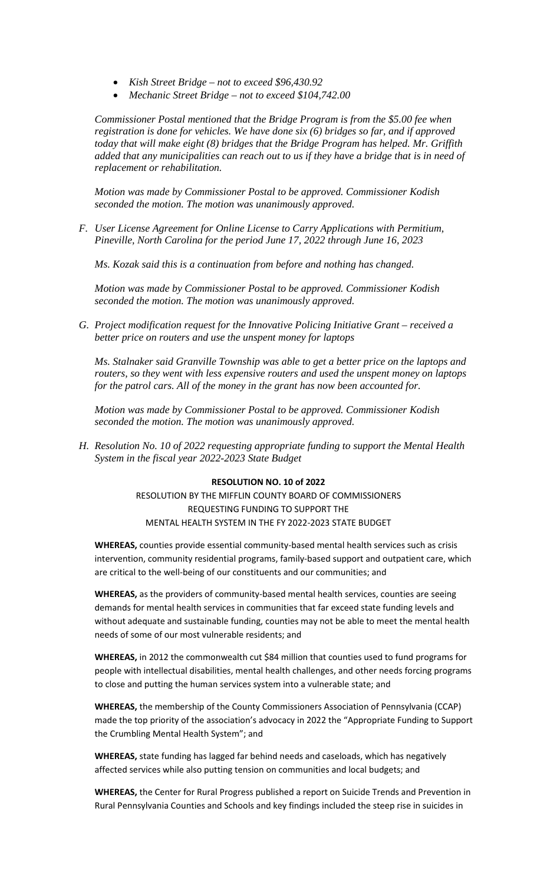- *Kish Street Bridge – not to exceed \$96,430.92*
- *Mechanic Street Bridge – not to exceed \$104,742.00*

*Commissioner Postal mentioned that the Bridge Program is from the \$5.00 fee when registration is done for vehicles. We have done six (6) bridges so far, and if approved today that will make eight (8) bridges that the Bridge Program has helped. Mr. Griffith added that any municipalities can reach out to us if they have a bridge that is in need of replacement or rehabilitation.*

*Motion was made by Commissioner Postal to be approved. Commissioner Kodish seconded the motion. The motion was unanimously approved.* 

*F. User License Agreement for Online License to Carry Applications with Permitium, Pineville, North Carolina for the period June 17, 2022 through June 16, 2023*

*Ms. Kozak said this is a continuation from before and nothing has changed.* 

*Motion was made by Commissioner Postal to be approved. Commissioner Kodish seconded the motion. The motion was unanimously approved.* 

*G. Project modification request for the Innovative Policing Initiative Grant – received a better price on routers and use the unspent money for laptops*

*Ms. Stalnaker said Granville Township was able to get a better price on the laptops and routers, so they went with less expensive routers and used the unspent money on laptops for the patrol cars. All of the money in the grant has now been accounted for.* 

*Motion was made by Commissioner Postal to be approved. Commissioner Kodish seconded the motion. The motion was unanimously approved.* 

*H. Resolution No. 10 of 2022 requesting appropriate funding to support the Mental Health System in the fiscal year 2022-2023 State Budget*

#### **RESOLUTION NO. 10 of 2022**

RESOLUTION BY THE MIFFLIN COUNTY BOARD OF COMMISSIONERS REQUESTING FUNDING TO SUPPORT THE MENTAL HEALTH SYSTEM IN THE FY 2022-2023 STATE BUDGET

**WHEREAS,** counties provide essential community-based mental health services such as crisis intervention, community residential programs, family-based support and outpatient care, which are critical to the well-being of our constituents and our communities; and

**WHEREAS,** as the providers of community-based mental health services, counties are seeing demands for mental health services in communities that far exceed state funding levels and without adequate and sustainable funding, counties may not be able to meet the mental health needs of some of our most vulnerable residents; and

**WHEREAS,** in 2012 the commonwealth cut \$84 million that counties used to fund programs for people with intellectual disabilities, mental health challenges, and other needs forcing programs to close and putting the human services system into a vulnerable state; and

**WHEREAS,** the membership of the County Commissioners Association of Pennsylvania (CCAP) made the top priority of the association's advocacy in 2022 the "Appropriate Funding to Support the Crumbling Mental Health System"; and

**WHEREAS,** state funding has lagged far behind needs and caseloads, which has negatively affected services while also putting tension on communities and local budgets; and

**WHEREAS,** the Center for Rural Progress published a report on Suicide Trends and Prevention in Rural Pennsylvania Counties and Schools and key findings included the steep rise in suicides in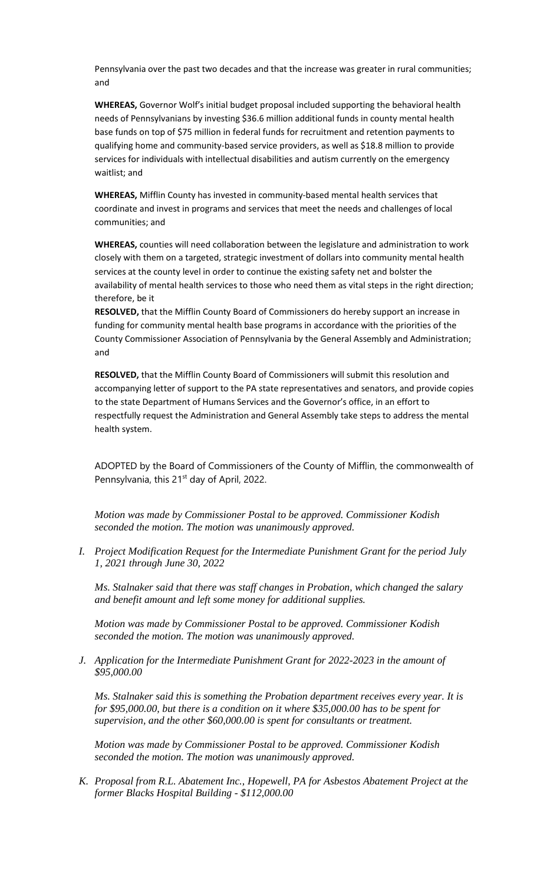Pennsylvania over the past two decades and that the increase was greater in rural communities; and

**WHEREAS,** Governor Wolf's initial budget proposal included supporting the behavioral health needs of Pennsylvanians by investing \$36.6 million additional funds in county mental health base funds on top of \$75 million in federal funds for recruitment and retention payments to qualifying home and community-based service providers, as well as \$18.8 million to provide services for individuals with intellectual disabilities and autism currently on the emergency waitlist; and

**WHEREAS,** Mifflin County has invested in community-based mental health services that coordinate and invest in programs and services that meet the needs and challenges of local communities; and

**WHEREAS,** counties will need collaboration between the legislature and administration to work closely with them on a targeted, strategic investment of dollars into community mental health services at the county level in order to continue the existing safety net and bolster the availability of mental health services to those who need them as vital steps in the right direction; therefore, be it

**RESOLVED,** that the Mifflin County Board of Commissioners do hereby support an increase in funding for community mental health base programs in accordance with the priorities of the County Commissioner Association of Pennsylvania by the General Assembly and Administration; and

**RESOLVED,** that the Mifflin County Board of Commissioners will submit this resolution and accompanying letter of support to the PA state representatives and senators, and provide copies to the state Department of Humans Services and the Governor's office, in an effort to respectfully request the Administration and General Assembly take steps to address the mental health system.

ADOPTED by the Board of Commissioners of the County of Mifflin, the commonwealth of Pennsylvania, this 21<sup>st</sup> day of April, 2022.

*Motion was made by Commissioner Postal to be approved. Commissioner Kodish seconded the motion. The motion was unanimously approved.* 

*I. Project Modification Request for the Intermediate Punishment Grant for the period July 1, 2021 through June 30, 2022*

*Ms. Stalnaker said that there was staff changes in Probation, which changed the salary and benefit amount and left some money for additional supplies.* 

*Motion was made by Commissioner Postal to be approved. Commissioner Kodish seconded the motion. The motion was unanimously approved.* 

*J.* Application for the Intermediate Punishment Grant for 2022-2023 in the amount of *\$95,000.00*

*Ms. Stalnaker said this is something the Probation department receives every year. It is for \$95,000.00, but there is a condition on it where \$35,000.00 has to be spent for supervision, and the other \$60,000.00 is spent for consultants or treatment.* 

*Motion was made by Commissioner Postal to be approved. Commissioner Kodish seconded the motion. The motion was unanimously approved.* 

*K. Proposal from R.L. Abatement Inc., Hopewell, PA for Asbestos Abatement Project at the former Blacks Hospital Building - \$112,000.00*